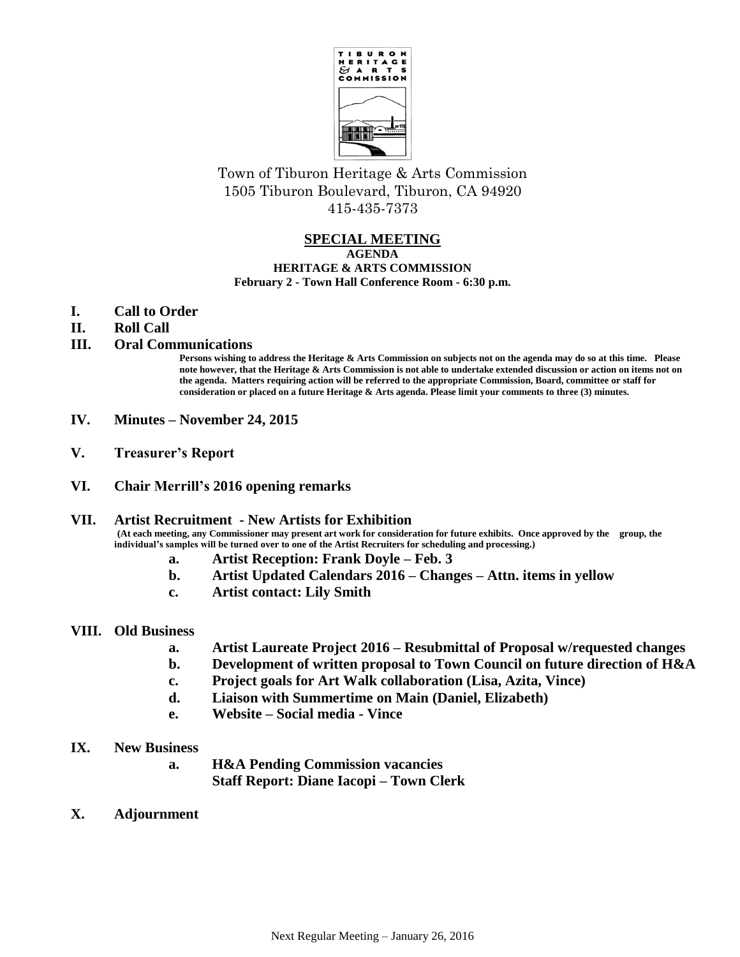

Town of Tiburon Heritage & Arts Commission 1505 Tiburon Boulevard, Tiburon, CA 94920 415-435-7373

### **SPECIAL MEETING AGENDA HERITAGE & ARTS COMMISSION February 2 - Town Hall Conference Room - 6:30 p.m.**

- **I. Call to Order**
- **II. Roll Call**

# **III. Oral Communications**

**Persons wishing to address the Heritage & Arts Commission on subjects not on the agenda may do so at this time. Please note however, that the Heritage & Arts Commission is not able to undertake extended discussion or action on items not on the agenda. Matters requiring action will be referred to the appropriate Commission, Board, committee or staff for consideration or placed on a future Heritage & Arts agenda. Please limit your comments to three (3) minutes.**

- **IV. Minutes – November 24, 2015**
- **V. Treasurer's Report**
- **VI. Chair Merrill's 2016 opening remarks**

#### **VII. Artist Recruitment - New Artists for Exhibition (At each meeting, any Commissioner may present art work for consideration for future exhibits. Once approved by the group, the individual's samples will be turned over to one of the Artist Recruiters for scheduling and processing.)**

- **a. Artist Reception: Frank Doyle – Feb. 3**
- **b. Artist Updated Calendars 2016 – Changes – Attn. items in yellow**
- **c. Artist contact: Lily Smith**

## **VIII. Old Business**

- **a. Artist Laureate Project 2016 – Resubmittal of Proposal w/requested changes**
- **b. Development of written proposal to Town Council on future direction of H&A**
- **c. Project goals for Art Walk collaboration (Lisa, Azita, Vince)**
- **d. Liaison with Summertime on Main (Daniel, Elizabeth)**
- **e. Website – Social media - Vince**
- **IX. New Business**
	- **a. H&A Pending Commission vacancies Staff Report: Diane Iacopi – Town Clerk**
- **X. Adjournment**